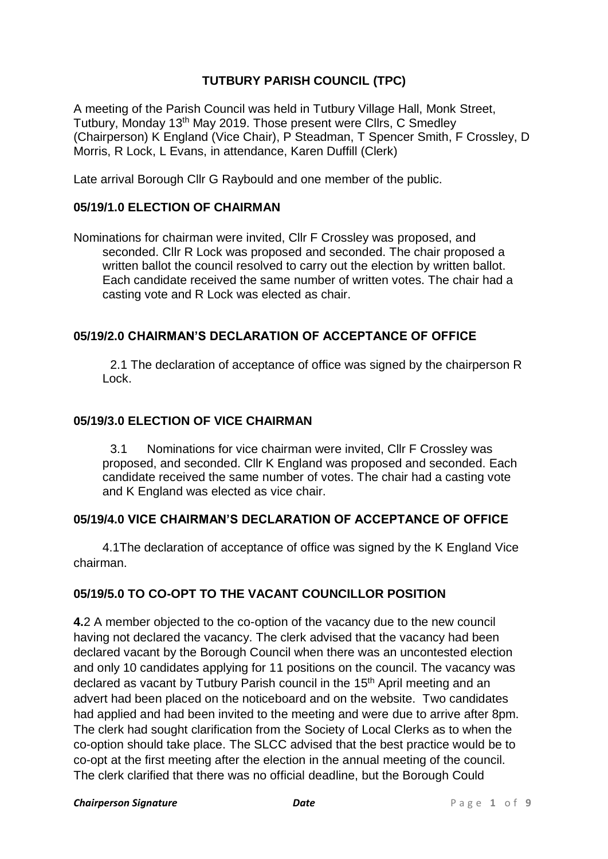# **TUTBURY PARISH COUNCIL (TPC)**

A meeting of the Parish Council was held in Tutbury Village Hall, Monk Street, Tutbury, Monday 13<sup>th</sup> May 2019. Those present were Cllrs, C Smedley (Chairperson) K England (Vice Chair), P Steadman, T Spencer Smith, F Crossley, D Morris, R Lock, L Evans, in attendance, Karen Duffill (Clerk)

Late arrival Borough Cllr G Raybould and one member of the public.

## **05/19/1.0 ELECTION OF CHAIRMAN**

Nominations for chairman were invited, Cllr F Crossley was proposed, and seconded. Cllr R Lock was proposed and seconded. The chair proposed a written ballot the council resolved to carry out the election by written ballot. Each candidate received the same number of written votes. The chair had a casting vote and R Lock was elected as chair.

## **05/19/2.0 CHAIRMAN'S DECLARATION OF ACCEPTANCE OF OFFICE**

2.1 The declaration of acceptance of office was signed by the chairperson R Lock.

#### **05/19/3.0 ELECTION OF VICE CHAIRMAN**

3.1 Nominations for vice chairman were invited, Cllr F Crossley was proposed, and seconded. Cllr K England was proposed and seconded. Each candidate received the same number of votes. The chair had a casting vote and K England was elected as vice chair.

#### **05/19/4.0 VICE CHAIRMAN'S DECLARATION OF ACCEPTANCE OF OFFICE**

4.1The declaration of acceptance of office was signed by the K England Vice chairman.

# **05/19/5.0 TO CO-OPT TO THE VACANT COUNCILLOR POSITION**

**4.**2 A member objected to the co-option of the vacancy due to the new council having not declared the vacancy. The clerk advised that the vacancy had been declared vacant by the Borough Council when there was an uncontested election and only 10 candidates applying for 11 positions on the council. The vacancy was declared as vacant by Tutbury Parish council in the 15<sup>th</sup> April meeting and an advert had been placed on the noticeboard and on the website. Two candidates had applied and had been invited to the meeting and were due to arrive after 8pm. The clerk had sought clarification from the Society of Local Clerks as to when the co-option should take place. The SLCC advised that the best practice would be to co-opt at the first meeting after the election in the annual meeting of the council. The clerk clarified that there was no official deadline, but the Borough Could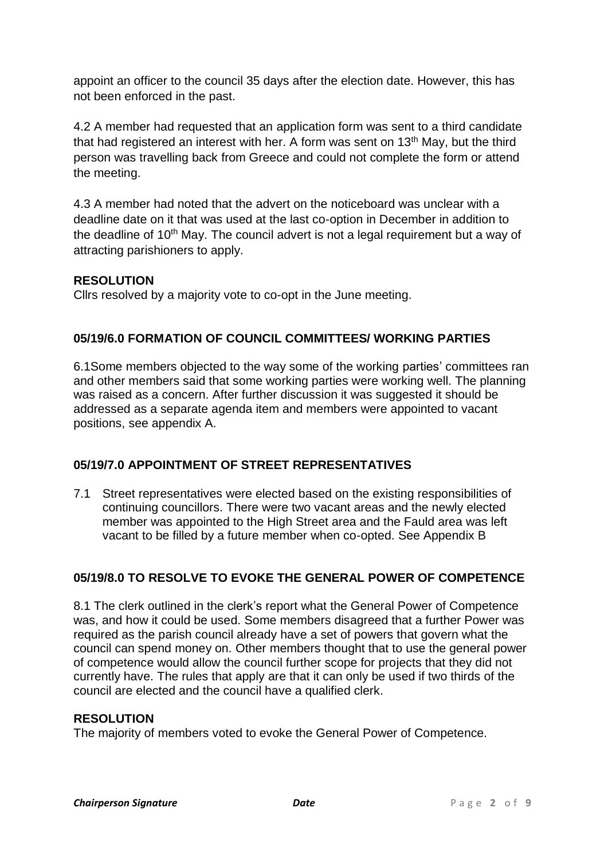appoint an officer to the council 35 days after the election date. However, this has not been enforced in the past.

4.2 A member had requested that an application form was sent to a third candidate that had registered an interest with her. A form was sent on 13<sup>th</sup> May, but the third person was travelling back from Greece and could not complete the form or attend the meeting.

4.3 A member had noted that the advert on the noticeboard was unclear with a deadline date on it that was used at the last co-option in December in addition to the deadline of 10<sup>th</sup> May. The council advert is not a legal requirement but a way of attracting parishioners to apply.

# **RESOLUTION**

Cllrs resolved by a majority vote to co-opt in the June meeting.

# **05/19/6.0 FORMATION OF COUNCIL COMMITTEES/ WORKING PARTIES**

6.1Some members objected to the way some of the working parties' committees ran and other members said that some working parties were working well. The planning was raised as a concern. After further discussion it was suggested it should be addressed as a separate agenda item and members were appointed to vacant positions, see appendix A.

# **05/19/7.0 APPOINTMENT OF STREET REPRESENTATIVES**

7.1 Street representatives were elected based on the existing responsibilities of continuing councillors. There were two vacant areas and the newly elected member was appointed to the High Street area and the Fauld area was left vacant to be filled by a future member when co-opted. See Appendix B

# **05/19/8.0 TO RESOLVE TO EVOKE THE GENERAL POWER OF COMPETENCE**

8.1 The clerk outlined in the clerk's report what the General Power of Competence was, and how it could be used. Some members disagreed that a further Power was required as the parish council already have a set of powers that govern what the council can spend money on. Other members thought that to use the general power of competence would allow the council further scope for projects that they did not currently have. The rules that apply are that it can only be used if two thirds of the council are elected and the council have a qualified clerk.

# **RESOLUTION**

The majority of members voted to evoke the General Power of Competence.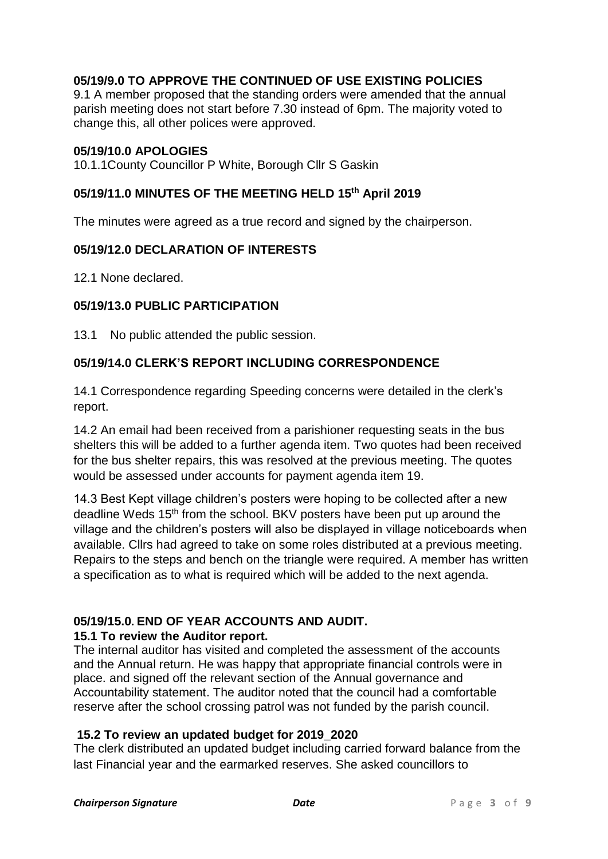# **05/19/9.0 TO APPROVE THE CONTINUED OF USE EXISTING POLICIES**

9.1 A member proposed that the standing orders were amended that the annual parish meeting does not start before 7.30 instead of 6pm. The majority voted to change this, all other polices were approved.

#### **05/19/10.0 APOLOGIES**

10.1.1County Councillor P White, Borough Cllr S Gaskin

#### **05/19/11.0 MINUTES OF THE MEETING HELD 15 th April 2019**

The minutes were agreed as a true record and signed by the chairperson.

#### **05/19/12.0 DECLARATION OF INTERESTS**

12.1 None declared.

#### **05/19/13.0 PUBLIC PARTICIPATION**

13.1 No public attended the public session.

## **05/19/14.0 CLERK'S REPORT INCLUDING CORRESPONDENCE**

14.1 Correspondence regarding Speeding concerns were detailed in the clerk's report.

14.2 An email had been received from a parishioner requesting seats in the bus shelters this will be added to a further agenda item. Two quotes had been received for the bus shelter repairs, this was resolved at the previous meeting. The quotes would be assessed under accounts for payment agenda item 19.

14.3 Best Kept village children's posters were hoping to be collected after a new deadline Weds 15<sup>th</sup> from the school. BKV posters have been put up around the village and the children's posters will also be displayed in village noticeboards when available. Cllrs had agreed to take on some roles distributed at a previous meeting. Repairs to the steps and bench on the triangle were required. A member has written a specification as to what is required which will be added to the next agenda.

# **05/19/15.0. END OF YEAR ACCOUNTS AND AUDIT.**

#### **15.1 To review the Auditor report.**

The internal auditor has visited and completed the assessment of the accounts and the Annual return. He was happy that appropriate financial controls were in place. and signed off the relevant section of the Annual governance and Accountability statement. The auditor noted that the council had a comfortable reserve after the school crossing patrol was not funded by the parish council.

#### **15.2 To review an updated budget for 2019\_2020**

The clerk distributed an updated budget including carried forward balance from the last Financial year and the earmarked reserves. She asked councillors to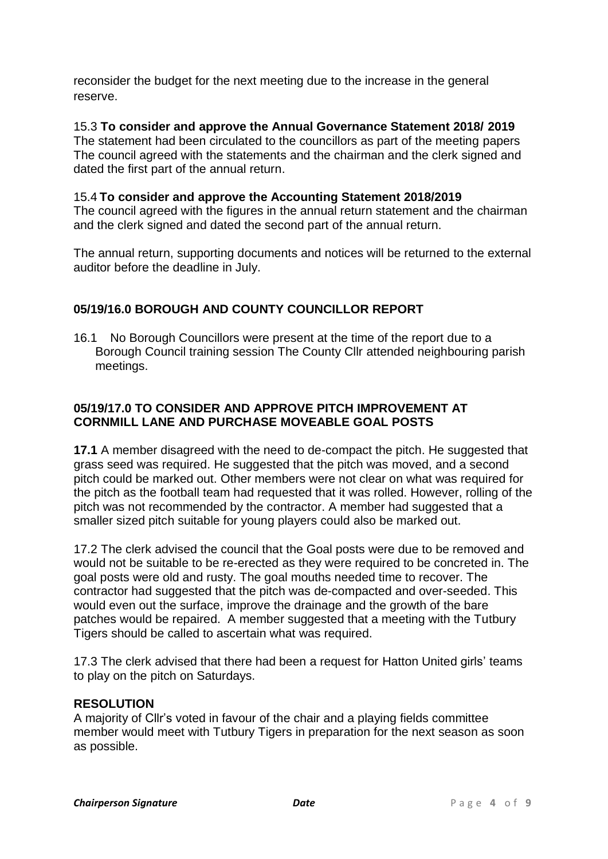reconsider the budget for the next meeting due to the increase in the general reserve.

15.3 **To consider and approve the Annual Governance Statement 2018/ 2019** The statement had been circulated to the councillors as part of the meeting papers The council agreed with the statements and the chairman and the clerk signed and dated the first part of the annual return.

# 15.4 **To consider and approve the Accounting Statement 2018/2019**

The council agreed with the figures in the annual return statement and the chairman and the clerk signed and dated the second part of the annual return.

The annual return, supporting documents and notices will be returned to the external auditor before the deadline in July.

# **05/19/16.0 BOROUGH AND COUNTY COUNCILLOR REPORT**

16.1 No Borough Councillors were present at the time of the report due to a Borough Council training session The County Cllr attended neighbouring parish meetings.

#### **05/19/17.0 TO CONSIDER AND APPROVE PITCH IMPROVEMENT AT CORNMILL LANE AND PURCHASE MOVEABLE GOAL POSTS**

**17.1** A member disagreed with the need to de-compact the pitch. He suggested that grass seed was required. He suggested that the pitch was moved, and a second pitch could be marked out. Other members were not clear on what was required for the pitch as the football team had requested that it was rolled. However, rolling of the pitch was not recommended by the contractor. A member had suggested that a smaller sized pitch suitable for young players could also be marked out.

17.2 The clerk advised the council that the Goal posts were due to be removed and would not be suitable to be re-erected as they were required to be concreted in. The goal posts were old and rusty. The goal mouths needed time to recover. The contractor had suggested that the pitch was de-compacted and over-seeded. This would even out the surface, improve the drainage and the growth of the bare patches would be repaired. A member suggested that a meeting with the Tutbury Tigers should be called to ascertain what was required.

17.3 The clerk advised that there had been a request for Hatton United girls' teams to play on the pitch on Saturdays.

#### **RESOLUTION**

A majority of Cllr's voted in favour of the chair and a playing fields committee member would meet with Tutbury Tigers in preparation for the next season as soon as possible.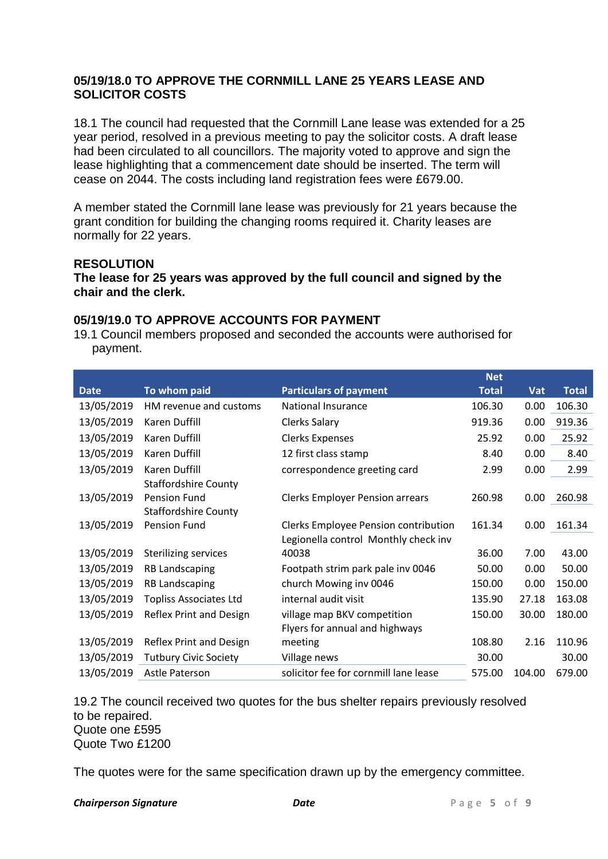#### **05/19/18.0 TO APPROVE THE CORNMILL LANE 25 YEARS LEASE AND SOLICITOR COSTS**

18.1 The council had requested that the Cornmill Lane lease was extended for a 25 year period, resolved in a previous meeting to pay the solicitor costs. A draft lease had been circulated to all councillors. The majority voted to approve and sign the lease highlighting that a commencement date should be inserted. The term will cease on 2044. The costs including land registration fees were £679.00.

A member stated the Cornmill lane lease was previously for 21 years because the grant condition for building the changing rooms required it. Charity leases are normally for 22 years.

#### **RESOLUTION**

**The lease for 25 years was approved by the full council and signed by the chair and the clerk.**

#### **05/19/19.0 TO APPROVE ACCOUNTS FOR PAYMENT**

19.1 Council members proposed and seconded the accounts were authorised for payment.

|             |                               |                                        | <b>Net</b>   |            |              |
|-------------|-------------------------------|----------------------------------------|--------------|------------|--------------|
| <b>Date</b> | To whom paid                  | <b>Particulars of payment</b>          | <b>Total</b> | <b>Vat</b> | <b>Total</b> |
| 13/05/2019  | HM revenue and customs        | <b>National Insurance</b>              | 106.30       | 0.00       | 106.30       |
| 13/05/2019  | Karen Duffill                 | <b>Clerks Salary</b>                   | 919.36       | 0.00       | 919.36       |
| 13/05/2019  | Karen Duffill                 | <b>Clerks Expenses</b>                 | 25.92        | 0.00       | 25.92        |
| 13/05/2019  | Karen Duffill                 | 12 first class stamp                   | 8.40         | 0.00       | 8.40         |
| 13/05/2019  | Karen Duffill                 | correspondence greeting card           | 2.99         | 0.00       | 2.99         |
|             | <b>Staffordshire County</b>   |                                        |              |            |              |
| 13/05/2019  | Pension Fund                  | <b>Clerks Employer Pension arrears</b> | 260.98       | 0.00       | 260.98       |
|             | <b>Staffordshire County</b>   |                                        |              |            |              |
| 13/05/2019  | <b>Pension Fund</b>           | Clerks Employee Pension contribution   | 161.34       | 0.00       | 161.34       |
|             |                               | Legionella control Monthly check inv   |              |            |              |
| 13/05/2019  | Sterilizing services          | 40038                                  | 36.00        | 7.00       | 43.00        |
| 13/05/2019  | <b>RB Landscaping</b>         | Footpath strim park pale inv 0046      | 50.00        | 0.00       | 50.00        |
| 13/05/2019  | <b>RB Landscaping</b>         | church Mowing inv 0046                 | 150.00       | 0.00       | 150.00       |
| 13/05/2019  | <b>Topliss Associates Ltd</b> | internal audit visit                   | 135.90       | 27.18      | 163.08       |
| 13/05/2019  | Reflex Print and Design       | village map BKV competition            | 150.00       | 30.00      | 180.00       |
|             |                               | Flyers for annual and highways         |              |            |              |
| 13/05/2019  | Reflex Print and Design       | meeting                                | 108.80       | 2.16       | 110.96       |
| 13/05/2019  | <b>Tutbury Civic Society</b>  | Village news                           | 30.00        |            | 30.00        |
| 13/05/2019  | Astle Paterson                | solicitor fee for cornmill lane lease  | 575.00       | 104.00     | 679.00       |

19.2 The council received two quotes for the bus shelter repairs previously resolved to be repaired. Quote one £595 Quote Two £1200

The quotes were for the same specification drawn up by the emergency committee.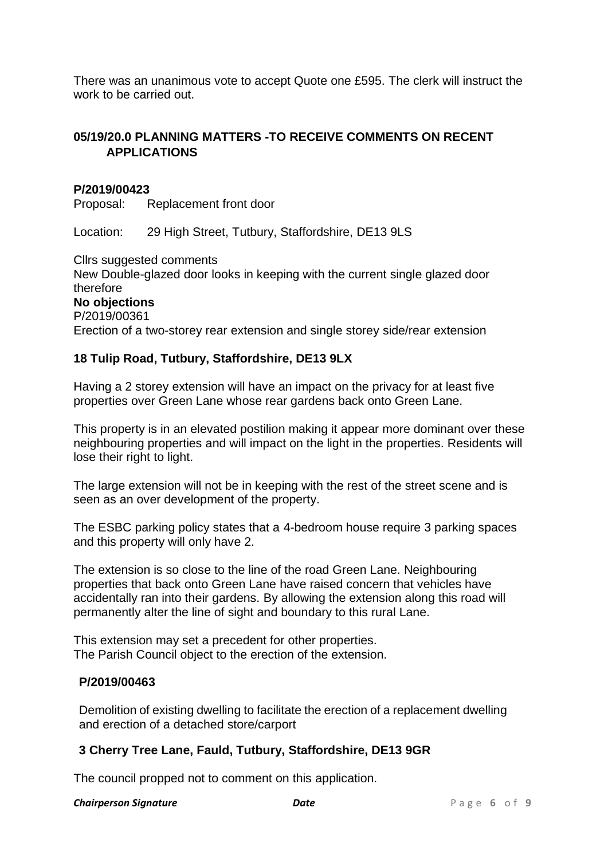There was an unanimous vote to accept Quote one £595. The clerk will instruct the work to be carried out.

## **05/19/20.0 PLANNING MATTERS -TO RECEIVE COMMENTS ON RECENT APPLICATIONS**

#### **P/2019/00423**

Proposal: Replacement front door

Location: 29 High Street, Tutbury, Staffordshire, DE13 9LS

Cllrs suggested comments New Double-glazed door looks in keeping with the current single glazed door therefore **No objections** P/2019/00361 Erection of a two-storey rear extension and single storey side/rear extension

#### **18 Tulip Road, Tutbury, Staffordshire, DE13 9LX**

Having a 2 storey extension will have an impact on the privacy for at least five properties over Green Lane whose rear gardens back onto Green Lane.

This property is in an elevated postilion making it appear more dominant over these neighbouring properties and will impact on the light in the properties. Residents will lose their right to light.

The large extension will not be in keeping with the rest of the street scene and is seen as an over development of the property.

The ESBC parking policy states that a 4-bedroom house require 3 parking spaces and this property will only have 2.

The extension is so close to the line of the road Green Lane. Neighbouring properties that back onto Green Lane have raised concern that vehicles have accidentally ran into their gardens. By allowing the extension along this road will permanently alter the line of sight and boundary to this rural Lane.

This extension may set a precedent for other properties. The Parish Council object to the erection of the extension.

#### **P/2019/00463**

Demolition of existing dwelling to facilitate the erection of a replacement dwelling and erection of a detached store/carport

#### **3 Cherry Tree Lane, Fauld, Tutbury, Staffordshire, DE13 9GR**

The council propped not to comment on this application.

#### **Chairperson Signature** *Date Date Page* **6** of 9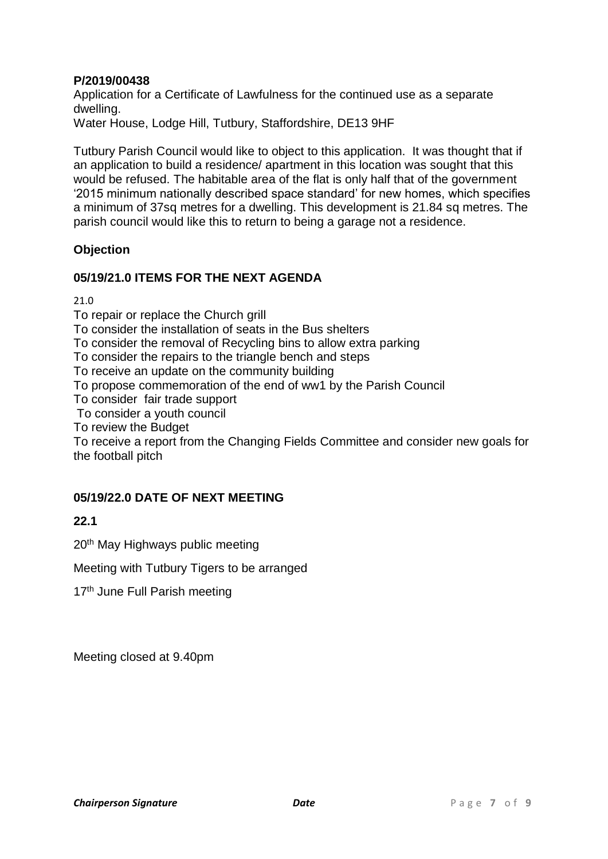# **P/2019/00438**

Application for a Certificate of Lawfulness for the continued use as a separate dwelling.

Water House, Lodge Hill, Tutbury, Staffordshire, DE13 9HF

Tutbury Parish Council would like to object to this application. It was thought that if an application to build a residence/ apartment in this location was sought that this would be refused. The habitable area of the flat is only half that of the government '2015 minimum nationally described space standard' for new homes, which specifies a minimum of 37sq metres for a dwelling. This development is 21.84 sq metres. The parish council would like this to return to being a garage not a residence.

## **Objection**

## **05/19/21.0 ITEMS FOR THE NEXT AGENDA**

21.0

To repair or replace the Church grill

To consider the installation of seats in the Bus shelters

To consider the removal of Recycling bins to allow extra parking

To consider the repairs to the triangle bench and steps

To receive an update on the community building

To propose commemoration of the end of ww1 by the Parish Council

To consider fair trade support

To consider a youth council

To review the Budget

To receive a report from the Changing Fields Committee and consider new goals for the football pitch

#### **05/19/22.0 DATE OF NEXT MEETING**

# **22.1**

20<sup>th</sup> May Highways public meeting

Meeting with Tutbury Tigers to be arranged

17<sup>th</sup> June Full Parish meeting

Meeting closed at 9.40pm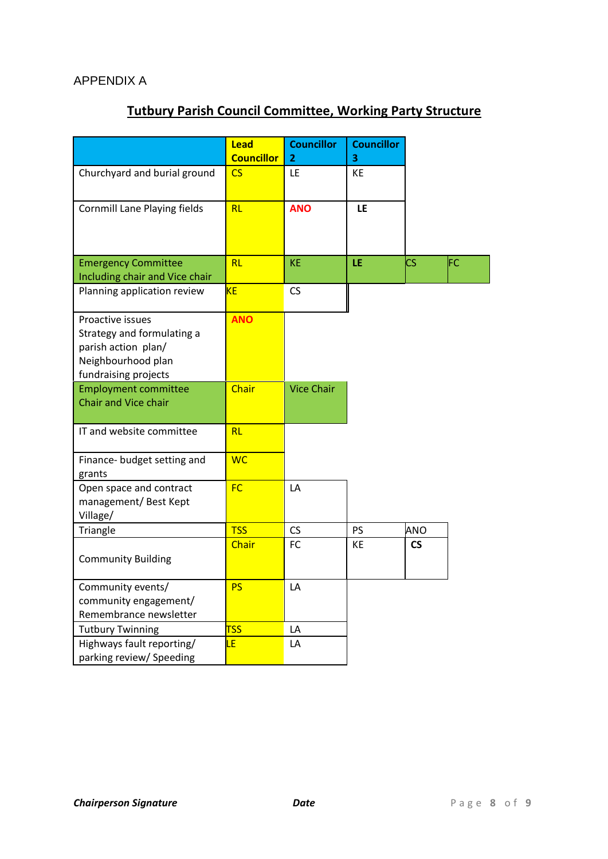# **Tutbury Parish Council Committee, Working Party Structure**

|                                                                                                                     | Lead<br><b>Councillor</b> | <b>Councillor</b><br>$\overline{2}$ | <b>Councillor</b><br>3 |                          |     |
|---------------------------------------------------------------------------------------------------------------------|---------------------------|-------------------------------------|------------------------|--------------------------|-----|
| Churchyard and burial ground                                                                                        | $\overline{\text{CS}}$    | LE                                  | KE                     |                          |     |
| <b>Cornmill Lane Playing fields</b>                                                                                 | RL                        | <b>ANO</b>                          | <b>LE</b>              |                          |     |
| <b>Emergency Committee</b>                                                                                          | RL                        | KE                                  | LE                     | <b>CS</b>                | ΙFΣ |
| Including chair and Vice chair                                                                                      |                           |                                     |                        |                          |     |
| Planning application review                                                                                         | <b>KE</b>                 | CS                                  |                        |                          |     |
| Proactive issues<br>Strategy and formulating a<br>parish action plan/<br>Neighbourhood plan<br>fundraising projects | <b>ANO</b>                |                                     |                        |                          |     |
| <b>Employment committee</b><br>Chair and Vice chair                                                                 | Chair                     | <b>Vice Chair</b>                   |                        |                          |     |
| IT and website committee                                                                                            | RL                        |                                     |                        |                          |     |
| Finance- budget setting and<br>grants                                                                               | <b>WC</b>                 |                                     |                        |                          |     |
| Open space and contract<br>management/Best Kept<br>Village/                                                         | <b>FC</b>                 | LA                                  |                        |                          |     |
| Triangle                                                                                                            | <b>TSS</b>                | CS                                  | <b>PS</b>              | ANO                      |     |
| <b>Community Building</b>                                                                                           | Chair                     | FC                                  | KE                     | $\mathsf{CS}\phantom{0}$ |     |
| Community events/<br>community engagement/<br>Remembrance newsletter                                                | <b>PS</b>                 | LA                                  |                        |                          |     |
| <b>Tutbury Twinning</b>                                                                                             | <b>TSS</b>                | LA                                  |                        |                          |     |
| Highways fault reporting/<br>parking review/ Speeding                                                               | LE                        | LA                                  |                        |                          |     |